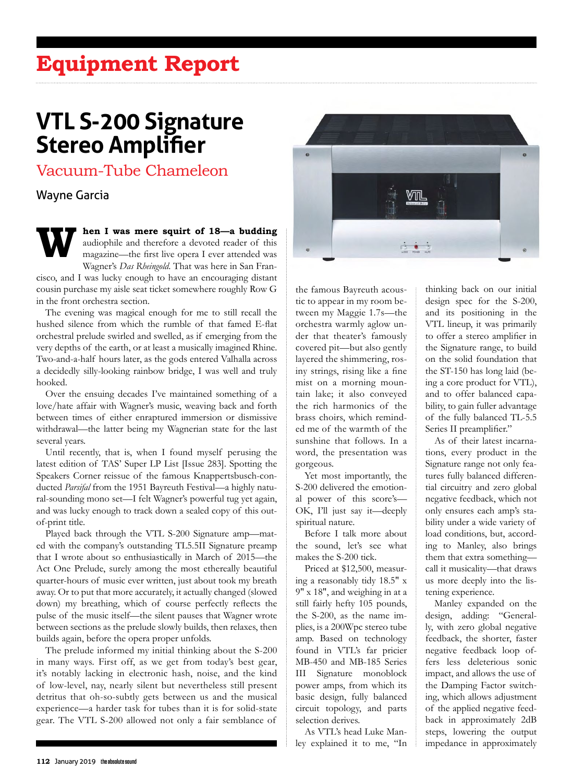# **Equipment Report**

# **VTL S-200 Signature Stereo Amplifier**

Vacuum-Tube Chameleon

## Wayne Garcia

#### **When I was mere squirt of 18—a budding**  audiophile and therefore a devoted reader of this magazine—the first live opera I ever attended was Wagner's *Das Rheingold*. That was here in San Fran-

cisco, and I was lucky enough to have an encouraging distant cousin purchase my aisle seat ticket somewhere roughly Row G in the front orchestra section.

The evening was magical enough for me to still recall the hushed silence from which the rumble of that famed E-flat orchestral prelude swirled and swelled, as if emerging from the very depths of the earth, or at least a musically imagined Rhine. Two-and-a-half hours later, as the gods entered Valhalla across a decidedly silly-looking rainbow bridge, I was well and truly hooked.

Over the ensuing decades I've maintained something of a love/hate affair with Wagner's music, weaving back and forth between times of either enraptured immersion or dismissive withdrawal—the latter being my Wagnerian state for the last several years.

Until recently, that is, when I found myself perusing the latest edition of TAS' Super LP List [Issue 283]. Spotting the Speakers Corner reissue of the famous Knappertsbusch-conducted *Parsifal* from the 1951 Bayreuth Festival—a highly natural-sounding mono set—I felt Wagner's powerful tug yet again, and was lucky enough to track down a sealed copy of this outof-print title.

Played back through the VTL S-200 Signature amp—mated with the company's outstanding TL5.5II Signature preamp that I wrote about so enthusiastically in March of 2015—the Act One Prelude, surely among the most ethereally beautiful quarter-hours of music ever written, just about took my breath away. Or to put that more accurately, it actually changed (slowed down) my breathing, which of course perfectly reflects the pulse of the music itself—the silent pauses that Wagner wrote between sections as the prelude slowly builds, then relaxes, then builds again, before the opera proper unfolds.

The prelude informed my initial thinking about the S-200 in many ways. First off, as we get from today's best gear, it's notably lacking in electronic hash, noise, and the kind of low-level, nay, nearly silent but nevertheless still present detritus that oh-so-subtly gets between us and the musical experience—a harder task for tubes than it is for solid-state gear. The VTL S-200 allowed not only a fair semblance of



the famous Bayreuth acoustic to appear in my room between my Maggie 1.7s—the orchestra warmly aglow under that theater's famously covered pit—but also gently layered the shimmering, rosiny strings, rising like a fine mist on a morning mountain lake; it also conveyed the rich harmonics of the brass choirs, which reminded me of the warmth of the sunshine that follows. In a word, the presentation was gorgeous.

Yet most importantly, the S-200 delivered the emotional power of this score's— OK, I'll just say it—deeply spiritual nature.

Before I talk more about the sound, let's see what makes the S-200 tick.

Priced at \$12,500, measuring a reasonably tidy 18.5" x 9" x 18", and weighing in at a still fairly hefty 105 pounds, the S-200, as the name implies, is a 200Wpc stereo tube amp. Based on technology found in VTL's far pricier MB-450 and MB-185 Series III Signature monoblock power amps, from which its basic design, fully balanced circuit topology, and parts selection derives.

As VTL's head Luke Manley explained it to me, "In thinking back on our initial design spec for the S-200, and its positioning in the VTL lineup, it was primarily to offer a stereo amplifier in the Signature range, to build on the solid foundation that the ST-150 has long laid (being a core product for VTL), and to offer balanced capability, to gain fuller advantage of the fully balanced TL-5.5 Series II preamplifier."

As of their latest incarnations, every product in the Signature range not only features fully balanced differential circuitry and zero global negative feedback, which not only ensures each amp's stability under a wide variety of load conditions, but, according to Manley, also brings them that extra something call it musicality—that draws us more deeply into the listening experience.

Manley expanded on the design, adding: "Generally, with zero global negative feedback, the shorter, faster negative feedback loop offers less deleterious sonic impact, and allows the use of the Damping Factor switching, which allows adjustment of the applied negative feedback in approximately 2dB steps, lowering the output impedance in approximately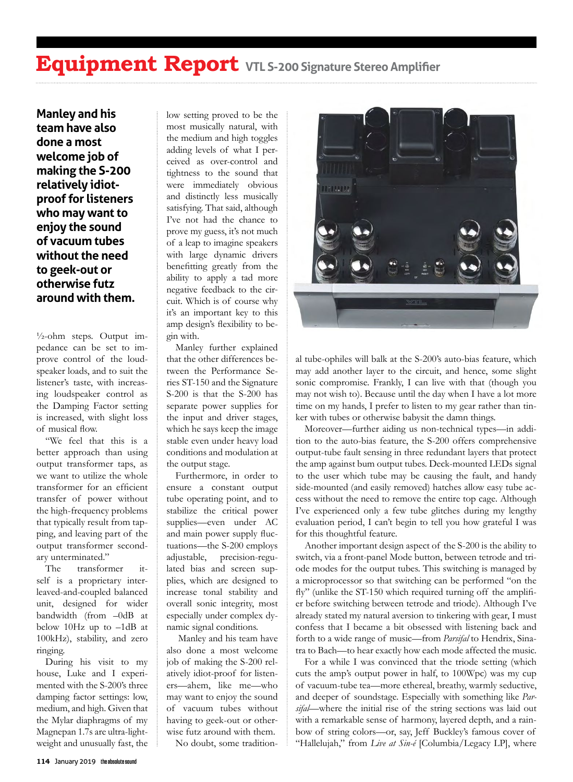## **Equipment Report VTL S-200 Signature Stereo Amplifier**

**Manley and his team have also done a most welcome job of making the S-200 relatively idiotproof for listeners who may want to enjoy the sound of vacuum tubes without the need to geek-out or otherwise futz around with them.**

 $\frac{1}{2}$ -ohm steps. Output impedance can be set to improve control of the loudspeaker loads, and to suit the listener's taste, with increasing loudspeaker control as the Damping Factor setting is increased, with slight loss of musical flow.

"We feel that this is a better approach than using output transformer taps, as we want to utilize the whole transformer for an efficient transfer of power without the high-frequency problems that typically result from tapping, and leaving part of the output transformer secondary unterminated."

The transformer itself is a proprietary interleaved-and-coupled balanced unit, designed for wider bandwidth (from –0dB at below 10Hz up to –1dB at 100kHz), stability, and zero ringing.

During his visit to my house, Luke and I experimented with the S-200's three damping factor settings: low, medium, and high. Given that the Mylar diaphragms of my Magnepan 1.7s are ultra-lightweight and unusually fast, the low setting proved to be the most musically natural, with the medium and high toggles adding levels of what I perceived as over-control and tightness to the sound that were immediately obvious and distinctly less musically satisfying. That said, although I've not had the chance to prove my guess, it's not much of a leap to imagine speakers with large dynamic drivers benefitting greatly from the ability to apply a tad more negative feedback to the circuit. Which is of course why it's an important key to this amp design's flexibility to begin with.

Manley further explained that the other differences between the Performance Series ST-150 and the Signature S-200 is that the S-200 has separate power supplies for the input and driver stages, which he says keep the image stable even under heavy load conditions and modulation at the output stage.

Furthermore, in order to ensure a constant output tube operating point, and to stabilize the critical power supplies—even under AC and main power supply fluctuations—the S-200 employs adjustable, precision-regulated bias and screen supplies, which are designed to increase tonal stability and overall sonic integrity, most especially under complex dynamic signal conditions.

 Manley and his team have also done a most welcome job of making the S-200 relatively idiot-proof for listeners—ahem, like me—who may want to enjoy the sound of vacuum tubes without having to geek-out or otherwise futz around with them.

No doubt, some tradition-



al tube-ophiles will balk at the S-200's auto-bias feature, which may add another layer to the circuit, and hence, some slight sonic compromise. Frankly, I can live with that (though you may not wish to). Because until the day when I have a lot more time on my hands, I prefer to listen to my gear rather than tinker with tubes or otherwise babysit the damn things.

Moreover—further aiding us non-technical types—in addition to the auto-bias feature, the S-200 offers comprehensive output-tube fault sensing in three redundant layers that protect the amp against bum output tubes. Deck-mounted LEDs signal to the user which tube may be causing the fault, and handy side-mounted (and easily removed) hatches allow easy tube access without the need to remove the entire top cage. Although I've experienced only a few tube glitches during my lengthy evaluation period, I can't begin to tell you how grateful I was for this thoughtful feature.

Another important design aspect of the S-200 is the ability to switch, via a front-panel Mode button, between tetrode and triode modes for the output tubes. This switching is managed by a microprocessor so that switching can be performed "on the fly" (unlike the ST-150 which required turning off the amplifier before switching between tetrode and triode). Although I've already stated my natural aversion to tinkering with gear, I must confess that I became a bit obsessed with listening back and forth to a wide range of music—from *Parsifal* to Hendrix, Sinatra to Bach—to hear exactly how each mode affected the music.

For a while I was convinced that the triode setting (which cuts the amp's output power in half, to 100Wpc) was my cup of vacuum-tube tea—more ethereal, breathy, warmly seductive, and deeper of soundstage. Especially with something like *Parsifal*—where the initial rise of the string sections was laid out with a remarkable sense of harmony, layered depth, and a rainbow of string colors—or, say, Jeff Buckley's famous cover of "Hallelujah," from *Live at Sin-é* [Columbia/Legacy LP], where